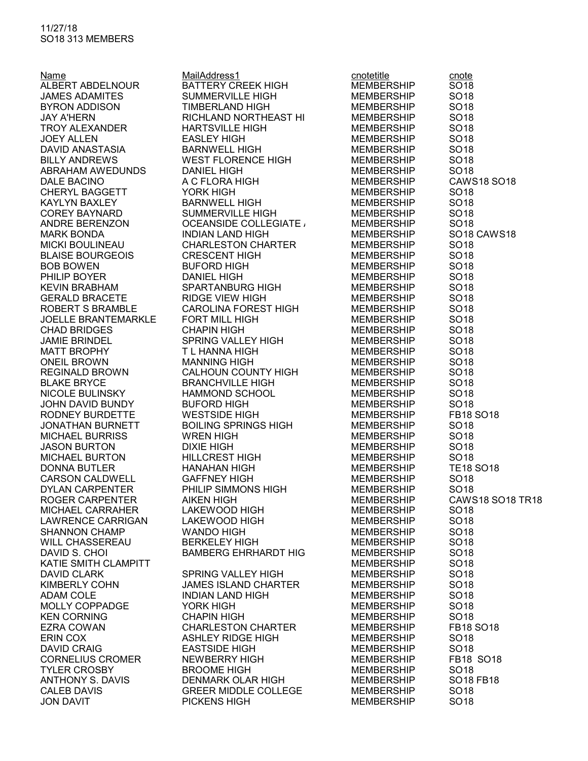## 11/27/18 SO18 313 MEMBERS

| Name                                       | MailAddress1<br>BATTERY CREEK HIGH                                                                                                                                                                                                                                                                                                                                                                                        | cnotetitle        | cnote                               |
|--------------------------------------------|---------------------------------------------------------------------------------------------------------------------------------------------------------------------------------------------------------------------------------------------------------------------------------------------------------------------------------------------------------------------------------------------------------------------------|-------------------|-------------------------------------|
| ALBERT ABDELNOUR                           |                                                                                                                                                                                                                                                                                                                                                                                                                           | <b>MEMBERSHIP</b> | SO <sub>18</sub>                    |
| <b>JAMES ADAMITES</b>                      | SUMMERVILLE HIGH                                                                                                                                                                                                                                                                                                                                                                                                          | MEMBERSHIP        | SO <sub>18</sub>                    |
| BYRON ADDISON                              | TIMBERLAND HIGH<br>RICHLAND NORTHEAST HI                                                                                                                                                                                                                                                                                                                                                                                  | MEMBERSHIP        | SO <sub>18</sub>                    |
|                                            |                                                                                                                                                                                                                                                                                                                                                                                                                           | <b>MEMBERSHIP</b> | SO <sub>18</sub>                    |
| JAY A'HERN<br>TROY ALEXANDER<br>JOEY ALLEY |                                                                                                                                                                                                                                                                                                                                                                                                                           |                   | SO <sub>18</sub>                    |
|                                            |                                                                                                                                                                                                                                                                                                                                                                                                                           |                   | SO <sub>18</sub>                    |
|                                            |                                                                                                                                                                                                                                                                                                                                                                                                                           |                   | SO <sub>18</sub>                    |
|                                            |                                                                                                                                                                                                                                                                                                                                                                                                                           |                   | SO <sub>18</sub>                    |
|                                            |                                                                                                                                                                                                                                                                                                                                                                                                                           |                   | SO <sub>18</sub>                    |
|                                            |                                                                                                                                                                                                                                                                                                                                                                                                                           |                   | <b>CAWS18 SO18</b>                  |
|                                            |                                                                                                                                                                                                                                                                                                                                                                                                                           |                   | SO <sub>18</sub>                    |
|                                            |                                                                                                                                                                                                                                                                                                                                                                                                                           |                   | SO <sub>18</sub>                    |
|                                            |                                                                                                                                                                                                                                                                                                                                                                                                                           |                   | SO <sub>18</sub>                    |
|                                            |                                                                                                                                                                                                                                                                                                                                                                                                                           |                   | SO <sub>18</sub>                    |
|                                            |                                                                                                                                                                                                                                                                                                                                                                                                                           | MEMBERSHIP        | SO <sub>18</sub> CAWS <sub>18</sub> |
|                                            |                                                                                                                                                                                                                                                                                                                                                                                                                           |                   | SO <sub>18</sub>                    |
|                                            |                                                                                                                                                                                                                                                                                                                                                                                                                           |                   | SO <sub>18</sub>                    |
|                                            |                                                                                                                                                                                                                                                                                                                                                                                                                           |                   | SO <sub>18</sub>                    |
|                                            |                                                                                                                                                                                                                                                                                                                                                                                                                           |                   | SO <sub>18</sub>                    |
|                                            |                                                                                                                                                                                                                                                                                                                                                                                                                           |                   | SO <sub>18</sub>                    |
|                                            |                                                                                                                                                                                                                                                                                                                                                                                                                           |                   | SO <sub>18</sub>                    |
|                                            |                                                                                                                                                                                                                                                                                                                                                                                                                           |                   | SO <sub>18</sub>                    |
|                                            |                                                                                                                                                                                                                                                                                                                                                                                                                           |                   | SO <sub>18</sub>                    |
|                                            |                                                                                                                                                                                                                                                                                                                                                                                                                           |                   | SO <sub>18</sub>                    |
|                                            |                                                                                                                                                                                                                                                                                                                                                                                                                           |                   | SO <sub>18</sub>                    |
|                                            |                                                                                                                                                                                                                                                                                                                                                                                                                           |                   | SO <sub>18</sub>                    |
|                                            |                                                                                                                                                                                                                                                                                                                                                                                                                           |                   | SO <sub>18</sub>                    |
|                                            |                                                                                                                                                                                                                                                                                                                                                                                                                           |                   | SO <sub>18</sub>                    |
|                                            |                                                                                                                                                                                                                                                                                                                                                                                                                           |                   | SO <sub>18</sub>                    |
|                                            | $\begin{tabular}{@{}ll@{}}\textbf{B/ON} & \textbf{F/ON} & \textbf{H/NEER} & \textbf{MEDER} & \textbf{MEDER} & \textbf{MEDER} & \textbf{MEDER} & \textbf{MEDER} & \textbf{MEDER} & \textbf{MEDER} & \textbf{MEDER} & \textbf{MEDER} & \textbf{MEDER} & \textbf{MEDER} & \textbf{MEDER} & \textbf{MEDER} & \textbf{MEDR} & \textbf{MEDR} & \textbf{MEDR} & \textbf{MEDR} & \textbf{MSER} & \textbf{MSER} & \textbf{MSER} &$ |                   | SO <sub>18</sub>                    |
|                                            |                                                                                                                                                                                                                                                                                                                                                                                                                           |                   | SO <sub>18</sub>                    |
|                                            |                                                                                                                                                                                                                                                                                                                                                                                                                           |                   | FB18 SO18                           |
|                                            |                                                                                                                                                                                                                                                                                                                                                                                                                           |                   | SO <sub>18</sub>                    |
|                                            |                                                                                                                                                                                                                                                                                                                                                                                                                           |                   | SO <sub>18</sub>                    |
|                                            |                                                                                                                                                                                                                                                                                                                                                                                                                           |                   | SO <sub>18</sub>                    |
|                                            |                                                                                                                                                                                                                                                                                                                                                                                                                           |                   | SO <sub>18</sub>                    |
|                                            |                                                                                                                                                                                                                                                                                                                                                                                                                           |                   | <b>TE18 SO18</b>                    |
|                                            |                                                                                                                                                                                                                                                                                                                                                                                                                           |                   | SO <sub>18</sub>                    |
|                                            |                                                                                                                                                                                                                                                                                                                                                                                                                           |                   | SO <sub>18</sub>                    |
|                                            |                                                                                                                                                                                                                                                                                                                                                                                                                           |                   | CAWS18 SO18 TR18                    |
| MICHAEL CARRAHER                           | LAKEWOOD HIGH                                                                                                                                                                                                                                                                                                                                                                                                             | <b>MEMBERSHIP</b> | SO <sub>18</sub>                    |
| <b>LAWRENCE CARRIGAN</b>                   | LAKEWOOD HIGH                                                                                                                                                                                                                                                                                                                                                                                                             | <b>MEMBERSHIP</b> | SO <sub>18</sub>                    |
| <b>SHANNON CHAMP</b>                       | <b>WANDO HIGH</b>                                                                                                                                                                                                                                                                                                                                                                                                         | <b>MEMBERSHIP</b> | SO <sub>18</sub>                    |
| <b>WILL CHASSEREAU</b>                     | <b>BERKELEY HIGH</b>                                                                                                                                                                                                                                                                                                                                                                                                      | <b>MEMBERSHIP</b> | SO <sub>18</sub>                    |
| DAVID S. CHOI                              | <b>BAMBERG EHRHARDT HIG</b>                                                                                                                                                                                                                                                                                                                                                                                               | <b>MEMBERSHIP</b> | SO <sub>18</sub>                    |
| KATIE SMITH CLAMPITT                       |                                                                                                                                                                                                                                                                                                                                                                                                                           | <b>MEMBERSHIP</b> | SO <sub>18</sub>                    |
| <b>DAVID CLARK</b>                         | <b>SPRING VALLEY HIGH</b>                                                                                                                                                                                                                                                                                                                                                                                                 | <b>MEMBERSHIP</b> | SO <sub>18</sub>                    |
| <b>KIMBERLY COHN</b>                       | <b>JAMES ISLAND CHARTER</b>                                                                                                                                                                                                                                                                                                                                                                                               | <b>MEMBERSHIP</b> | SO <sub>18</sub>                    |
| <b>ADAM COLE</b>                           | <b>INDIAN LAND HIGH</b>                                                                                                                                                                                                                                                                                                                                                                                                   | <b>MEMBERSHIP</b> | SO <sub>18</sub>                    |
| MOLLY COPPADGE                             | YORK HIGH                                                                                                                                                                                                                                                                                                                                                                                                                 | <b>MEMBERSHIP</b> | SO <sub>18</sub>                    |
| <b>KEN CORNING</b>                         | <b>CHAPIN HIGH</b>                                                                                                                                                                                                                                                                                                                                                                                                        | <b>MEMBERSHIP</b> | SO <sub>18</sub>                    |
| EZRA COWAN                                 | <b>CHARLESTON CHARTER</b>                                                                                                                                                                                                                                                                                                                                                                                                 | <b>MEMBERSHIP</b> | FB18 SO18                           |
| ERIN COX                                   | <b>ASHLEY RIDGE HIGH</b>                                                                                                                                                                                                                                                                                                                                                                                                  | <b>MEMBERSHIP</b> | SO <sub>18</sub>                    |
| <b>DAVID CRAIG</b>                         | <b>EASTSIDE HIGH</b>                                                                                                                                                                                                                                                                                                                                                                                                      | <b>MEMBERSHIP</b> | SO <sub>18</sub>                    |
| <b>CORNELIUS CROMER</b>                    | NEWBERRY HIGH                                                                                                                                                                                                                                                                                                                                                                                                             | <b>MEMBERSHIP</b> | FB18 SO18                           |
| <b>TYLER CROSBY</b>                        | <b>BROOME HIGH</b>                                                                                                                                                                                                                                                                                                                                                                                                        | <b>MEMBERSHIP</b> | SO <sub>18</sub>                    |
| <b>ANTHONY S. DAVIS</b>                    | <b>DENMARK OLAR HIGH</b>                                                                                                                                                                                                                                                                                                                                                                                                  | <b>MEMBERSHIP</b> | SO18 FB18                           |
| <b>CALEB DAVIS</b>                         | <b>GREER MIDDLE COLLEGE</b>                                                                                                                                                                                                                                                                                                                                                                                               | <b>MEMBERSHIP</b> | SO <sub>18</sub>                    |
| <b>JON DAVIT</b>                           | PICKENS HIGH                                                                                                                                                                                                                                                                                                                                                                                                              | <b>MEMBERSHIP</b> | SO <sub>18</sub>                    |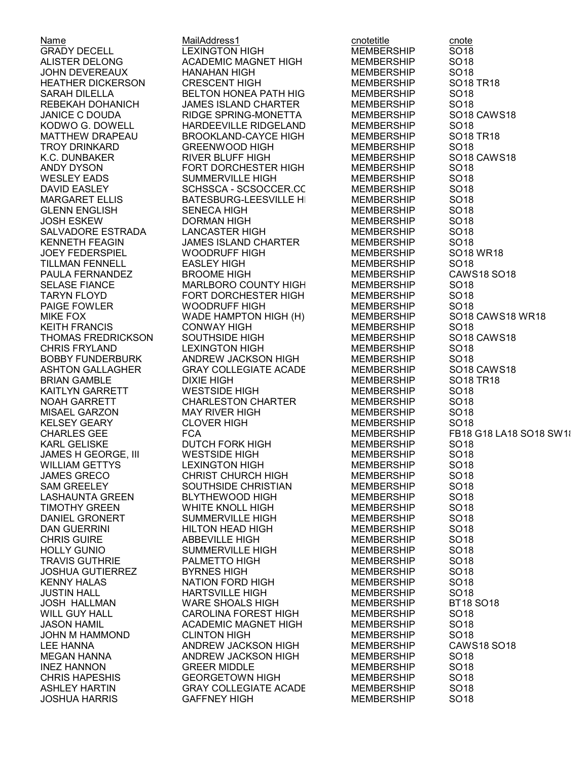Name MailAddress1 cnotetitle cnote LEXINGTON HIGH MEMBERSHIP ALISTER DELONG ACADEMIC MAGNET HIGH MEMBERSHIP SO18 JOHN DEVEREAUX HANAHAN HIGH MEMBERSHIP SO18 HEATHER DICKERSON CRESCENT HIGH MEMBERSHIP SO18 TR18 SARAH DILELLA BELTON HONEA PATH HIG MEMBERSHIP SO18<br>REBEKAH DOHANICH JAMES ISLAND CHARTER MEMBERSHIP SO18 REBEKAH DOHANICH JAMES ISLAND CHARTER MEMBERSHIP SO18 JANICE C DOUDA RIDGE SPRING-MONETTA HIGH MEMBERSHIP SO18 CAWS18 KODWO G. DOWELL HARDEEVILLE RIDGELAND MIDDLE MEMBERSHIP SO18 BROOKLAND-CAYCE HIGH MEMBERSHIP SO18 TR18 TROY DRINKARD GREENWOOD HIGH MEMBERSHIP SO18 K.C. DUNBAKER RIVER BLUFF HIGH MEMBERSHIP SO18 CAWS18 FORT DORCHESTER HIGH WESLEY EADS SUMMERVILLE HIGH MEMBERSHIP SO18 DAVID EASLEY SCHSSCA - SCSOCCER.COM MEMBERSHIP SO18 MARGARET ELLIS BATESBURG-LEESVILLE HIGH MEMBERSHIP SO18 GLENN ENGLISH SENECA HIGH MEMBERSHIP SO18 JOSH ESKEW DORMAN HIGH MEMBERSHIP SO18 SALVADORE ESTRADA LANCASTER HIGH MEMBERSHIP<br>KENNETH FEAGIN JAMES ISLAND CHARTER MEMBERSHIP JAMES ISLAND CHARTER MEMBERSHIP SO18 JOEY FEDERSPIEL WOODRUFF HIGH MEMBERSHIP SO18 WR18 TILLMAN FENNELL EASLEY HIGH MEMBERSHIP SO18 PAULA FERNANDEZ BROOME HIGH MEMBERSHIP CAWS18 SO18 SELASE FIANCE MARLBORO COUNTY HIGH MEMBERSHIP TARYN FLOYD FORT DORCHESTER HIGH MEMBERSHIP SO18 WOODRUFF HIGH MEMBERSHIP SO18 MIKE FOX WADE HAMPTON HIGH (H) MEMBERSHIP SO18 CAWS18 WR18 KEITH FRANCIS CONWAY HIGH MEMBERSHIP SO18 THOMAS FREDRICKSON SOUTHSIDE HIGH MEMBERSHIP SO18 CAWS18 LEXINGTON HIGH MEMBERSHIP<br>ANDREW JACKSON HIGH MEMBERSHIP BOBBY FUNDERBURK ANDREW JACKSON HIGH MEMBERSHIP SO18 ASHTON GALLAGHER GRAY COLLEGIATE ACADE MEMBERSHIP SO18 CAWS18 BRIAN GAMBLE DIXIE HIGH MEMBERSHIP SO18 TR18 KAITLYN GARRETT WESTSIDE HIGH MEMBERSHIP SO18 NOAH GARRETT CHARLESTON CHARTER MEMBERSHIP SO18 MISAEL GARZON MAY RIVER HIGH MEMBERSHIP SO18 KELSEY GEARY CLOVER HIGH MEMBERSHIP SO18 CHARLES GEE FCA MEMBERSHIP FB18 G18 LA18 SO18 SW18 KARL GELISKE DUTCH FORK HIGH MEMBERSHIP SO18 JAMES H GEORGE, III WESTSIDE HIGH MEMBERSHIP SO18 WILLIAM GETTYS LEXINGTON HIGH MEMBERSHIP SO18 JAMES GRECO **CHRIST CHURCH HIGH** MEMBERSHIP SAM GREELEY SOUTHSIDE CHRISTIAN MEMBERSHIP SO18 LASHAUNTA GREEN BLYTHEWOOD HIGH MEMBERSHIP SO18 TIMOTHY GREEN WHITE KNOLL HIGH MEMBERSHIP SO18 DANIEL GRONERT SUMMERVILLE HIGH MEMBERSHIP DAN GUERRINI HILTON HEAD HIGH MEMBERSHIP SO18 CHRIS GUIRE ABBEVILLE HIGH MEMBERSHIP SO18 HOLLY GUNIO SUMMERVILLE HIGH MEMBERSHIP SO18 TRAVIS GUTHRIE PALMETTO HIGH MEMBERSHIP SO18 JOSHUA GUTIERREZ BYRNES HIGH MEMBERSHIP SO18 NATION FORD HIGH MEMBERSHIP JUSTIN HALL HARTSVILLE HIGH MEMBERSHIP SO18 JOSH HALLMAN WARE SHOALS HIGH MEMBERSHIP BT18 SO18 WILL GUY HALL **CAROLINA FOREST HIGH MEMBERSHIP** SO18 JASON HAMIL ACADEMIC MAGNET HIGH MEMBERSHIP SO18 JOHN M HAMMOND CLINTON HIGH MEMBERSHIP SO18 LEE HANNA ANDREW JACKSON HIGH MEMBERSHIP CAWS18 SO18 MEGAN HANNA ANDREW JACKSON HIGH MEMBERSHIP SO18 INEZ HANNON GREER MIDDLE MEMBERSHIP SO18 CHRIS HAPESHIS GEORGETOWN HIGH MEMBERSHIP SO18 **GRAY COLLEGIATE ACADE** 

JOSHUA HARRIS GAFFNEY HIGH MEMBERSHIP SO18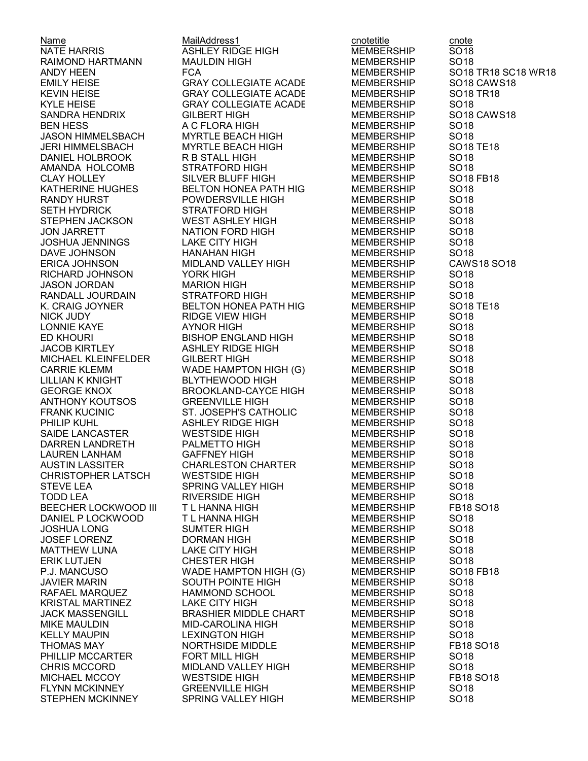AMANDA HOLCOMB **JOSHUA JENNINGS** MICHAEL KLEINFELDER STEPHEN MCKINNEY SPRING VALLEY HIGH MEMBERSHIP SO18

Name MailAddress1 cnotetitle cnote<br>NATE HARRIS COLL ASHLEY RIDGE HIGH MEMBERSHIP SO18 ASHLEY RIDGE HIGH RAIMOND HARTMANN MAULDIN HIGH MEMBERSHIP SO18 SANDRA HENDRIX GILBERT HIGH MEMBERSHIP SO18 CAWS18 BEN HESS A C FLORA HIGH MEMBERSHIP SO18 JERI HIMMELSBACH MYRTLE BEACH HIGH MEMBERSHIP SO18 TE18 DANIEL HOLBROOK R B STALL HIGH MEMBERSHIP SO18 BELTON HONEA PATH HIG
BELTON HONEA PATH HIG
SO18 RANDY HURST POWDERSVILLE HIGH MEMBERSHIP SO18 SETH HYDRICK STRATFORD HIGH MEMBERSHIP SO18 STEPHEN JACKSON WEST ASHLEY HIGH MEMBERSHIP SO18 NATION FORD HIGH MEMBERSHIP SO18<br>LAKE CITY HIGH MEMBERSHIP SO18 DAVE JOHNSON HANAHAN HIGH MEMBERSHIP SO18 RICHARD JOHNSON YORK HIGH MEMBERSHIP SO18 JASON JORDAN MARION HIGH MEMBERSHIP RANDALL JOURDAIN STRATFORD HIGH MEMBERSHIP SO18 NICK JUDY RIDGE VIEW HIGH MEMBERSHIP SO18 AYNOR HIGH MEMBERSHIP ED KHOURI BISHOP ENGLAND HIGH MEMBERSHIP SO18 JACOB KIRTLEY ASHLEY RIDGE HIGH MEMBERSHIP SO18 CARRIE KLEMM **WADE HAMPTON HIGH (G)** MEMBERSHIP SO18 LILLIAN K KNIGHT BLYTHEWOOD HIGH MEMBERSHIP SO18 GEORGE KNOX BROOKLAND-CAYCE HIGH MEMBERSHIP SO18 ANTHONY KOUTSOS GREENVILLE HIGH MEMBERSHIP SO18 FRANK KUCINIC ST. JOSEPH'S CATHOLIC MEMBERSHIP SO18 PHILIP KUHL ASHLEY RIDGE HIGH MEMBERSHIP SO18 SAIDE LANCASTER WESTSIDE HIGH MEMBERSHIP SO18 DARREN LANDRETH PALMETTO HIGH MEMBERSHIP SO18 LAUREN LANHAM GAFFNEY HIGH MEMBERSHIP SO18 AUSTIN LASSITER CHARLESTON CHARTER MEMBERSHIP SO18 CHRISTOPHER LATSCH WESTSIDE HIGH MEMBERSHIP STEVE LEA SPRING VALLEY HIGH MEMBERSHIP SO18 BEECHER LOCKWOOD III T L HANNA HIGH MEMBERSHIP FB18 SO18 DANIEL P LOCKWOOD T L HANNA HIGH MEMBERSHIP JOSHUA LONG SUMTER HIGH MEMBERSHIP SO18 JOSEF LORENZ DORMAN HIGH MEMBERSHIP SO18 MATTHEW LUNA LAKE CITY HIGH MEMBERSHIP SO18 P.J. MANCUSO WADE HAMPTON HIGH (G) MEMBERSHIP SO18 FB18 SOUTH POINTE HIGH MEMBERSHIP RAFAEL MARQUEZ HAMMOND SCHOOL MEMBERSHIP SO18 KRISTAL MARTINEZ LAKE CITY HIGH MEMBERSHIP SO18 JACK MASSENGILL BRASHIER MIDDLE CHART MEMBERSHIP SO18 MIKE MAULDIN MID-CAROLINA HIGH MEMBERSHIP SO18 LEXINGTON HIGH MEMBERSHIP SO18 PHILLIP MCCARTER FORT MILL HIGH MEMBERSHIP SO18 CHRIS MCCORD MIDLAND VALLEY HIGH MEMBERSHIP SO18 **GREENVILLE HIGH** 

ANDY HEEN FCA FCA FOR MEMBERSHIP SO18 TR18 SC18 WR18 EMILY HEISE GRAY COLLEGIATE ACADE MEMBERSHIP SO18 CAWS18 KEVIN HEISE GRAY COLLEGIATE ACADE MEMBERSHIP SO18 TR18 KYLE HEISE GRAY COLLEGIATE ACADEMY MEMBERSHIP SO18 JASON HIMMELSBACH MYRTLE BEACH HIGH MEMBERSHIP SO18 CLAY HOLLEY SILVER BLUFF HIGH MEMBERSHIP SO18 FB18 ERICA JOHNSON MIDLAND VALLEY HIGH MEMBERSHIP CAWS18 SO18 K. CRAIG JOYNER BELTON HONEA PATH HIGH MEMBERSHIP SO18 TE18 TODD LEA RIVERSIDE HIGH MEMBERSHIP SO18 ERIK LUTJEN CHESTER HIGH MEMBERSHIP SO18 THOMAS MAY NORTHSIDE MIDDLE MEMBERSHIP FB18 SO18 MICHAEL MCCOY WESTSIDE HIGH MEMBERSHIP FB18 SO18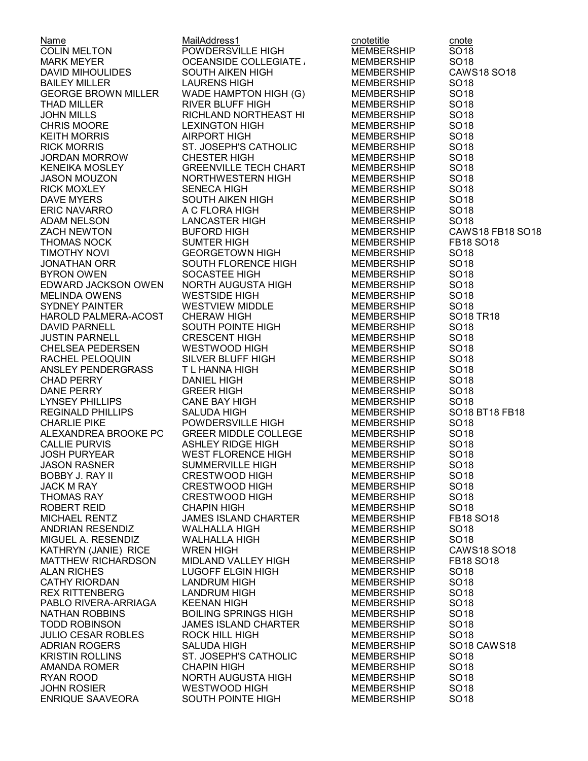Name Content Content MailAddress1 content content content content content content content content content conte COLIN MELTON POWDERSVILLE HIGH MEMBERSHIP SO18 MARK MEYER OCEANSIDE COLLEGIATE ACADEMYMEMBERSHIP SO18 BAILEY MILLER LAURENS HIGH MEMBERSHIP SO18 GEORGE BROWN MILLER WADE HAMPTON HIGH (G) MEMBERSHIP SO18 THAD MILLER RIVER BLUFF HIGH MEMBERSHIP SO18 CHRIS MOORE LEXINGTON HIGH KEITH MORRIS AIRPORT HIGH MEMBERSHIP SO18 RICK MORRIS ST. JOSEPH'S CATHOLIC MEMBERSHIP SO18 JORDAN MORROW CHESTER HIGH MEMBERSHIP SO18 JASON MOUZON NORTHWESTERN HIGH MEMBERSHIP SO18 RICK MOXLEY SENECA HIGH MEMBERSHIP SO18 DAVE MYERS GOUTH AIKEN HIGH MEMBERSHIP SO18 ERIC NAVARRO A C FLORA HIGH MEMBERSHIP SO18 ADAM NELSON LANCASTER HIGH MEMBERSHIP SO18 TIMOTHY NOVI GEORGETOWN HIGH MEMBERSHIP SO18 JONATHAN ORR SOUTH FLORENCE HIGH MEMBERSHIP SO18 BYRON OWEN SOCASTEE HIGH MEMBERSHIP SO18 EDWARD JACKSON OWEN NORTH AUGUSTA HIGH MEMBERSHIP MELINDA OWENS WESTSIDE HIGH MEMBERSHIP SO18 JUSTIN PARNELL CRESCENT HIGH MEMBERSHIP SO18 CHELSEA PEDERSEN RACHEL PELOQUIN SILVER BLUFF HIGH MEMBERSHIP SO18 ANSLEY PENDERGRASS TIL HANNA HIGH MEMBERSHIP SO18 CHAD PERRY DANIEL HIGH MEMBERSHIP SO18 LYNSEY PHILLIPS CANE BAY HIGH MEMBERSHIP CHARLIE PIKE POWDERSVILLE HIGH MEMBERSHIP SO18 ALEXANDREA BROOKE PORTERGREER MIDDLE COLLEGE MEMBERSHIP SO18 JOSH PURYEAR WEST FLORENCE HIGH MEMBERSHIP SO18 JASON RASNER SUMMERVILLE HIGH MEMBERSHIP SO18 BOBBY J. RAY II **CRESTWOOD HIGH** MEMBERSHIP JACK M RAY **CRESTWOOD HIGH** MEMBERSHIP SO18 THOMAS RAY CRESTWOOD HIGH MEMBERSHIP SO18 MICHAEL RENTZ JAMES ISLAND CHARTER MEMBERSHIP ANDRIAN RESENDIZ WALHALLA HIGH MEMBERSHIP SO18 MIGUEL A. RESENDIZ WALHALLA HIGH MEMBERSHIP SO18 CATHY RIORDAN LANDRUM HIGH MEMBERSHIP REX RITTENBERG LANDRUM HIGH MEMBERSHIP SO18 PABLO RIVERA-ARRIAGA KEENAN HIGH MEMBERSHIP SO18 NATHAN ROBBINS BOILING SPRINGS HIGH MEMBERSHIP SO18 TODD ROBINSON JAMES ISLAND CHARTER MEMBERSHIP SO18 JULIO CESAR ROBLES ROCK HILL HIGH MEMBERSHIP SO18 KRISTIN ROLLINS ST. JOSEPH'S CATHOLIC MEMBERSHIP SO18 AMANDA ROMER CHAPIN HIGH MEMBERSHIP SO18 RYAN ROOD NORTH AUGUSTA HIGH MEMBERSHIP SO18

JOHN MILLS RICHLAND NORTHEAST HIGH MEMBERSHIP SO18 **GREENVILLE TECH CHART** WESTVIEW MIDDLE MEMBERSHIP SO18 SOUTH POINTE HIGH MEMBERSHIP SO18 DANE PERRY GREER HIGH MEMBERSHIP SO18 ASHLEY RIDGE HIGH MEMBERSHIP ALAN RICHES LUGOFF ELGIN HIGH MEMBERSHIP SO18 WESTWOOD HIGH

DAVID MIHOULIDES SOUTH AIKEN HIGH MEMBERSHIP CAWS18 SO18 ZACH NEWTON BUFORD HIGH MEMBERSHIP CAWS18 FB18 SO18 THOMAS NOCK SUMTER HIGH MEMBERSHIP FB18 SO18 HAROLD PALMERA-ACOST CHERAW HIGH MEMBERSHIP SO18 TR18<br>DAVID PARNELL SOUTH POINTE HIGH MEMBERSHIP SO18 REGINALD PHILLIPS SALUDA HIGH MEMBERSHIP SO18 BT18 FB18 ROBERT REID CHAPIN HIGH MEMBERSHIP SO18 KATHRYN (JANIE) RICE WREN HIGH MEMBERSHIP CAWS18 SO18 MATTHEW RICHARDSON MIDLAND VALLEY HIGH MEMBERSHIP FB18 SO18 ADRIAN ROGERS SALUDA HIGH MEMBERSHIP SO18 CAWS18 ENRIQUE SAAVEORA SOUTH POINTE HIGH MEMBERSHIP SO18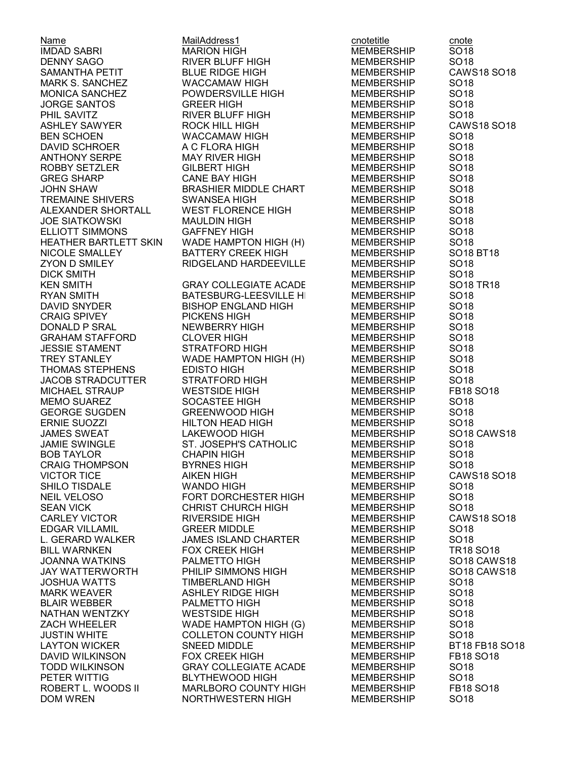ROBBY SETZLER GEORGE SUGDEN GREENWOOD HIGH **CRAIG THOMPSON** 

Name Content Content MailAddress1 content content content content content content content content content conte IMDAD SABRI MARION HIGH MEMBERSHIP SO18 DENNY SAGO RIVER BLUFF HIGH MEMBERSHIP SO18 SAMANTHA PETIT BLUE RIDGE HIGH MEMBERSHIP CAWS18 SO18 MARK S. SANCHEZ WACCAMAW HIGH MEMBERSHIP SO18 MONICA SANCHEZ POWDERSVILLE HIGH MEMBERSHIP SO18 JORGE SANTOS GREER HIGH MEMBERSHIP SO18 PHIL SAVITT RIVER BLUFF HIGH MEMBERSHIP SO18<br>PHILL RIGH MEMBERSHIP CAWS18 SO18 ASHLEY SAWYER ROCK HILL HIGH MEMBERSHIP CAWS18 SO18 BEN SCHOEN WACCAMAW HIGH MEMBERSHIP SO18 DAVID SCHROER A C FLORA HIGH MEMBERSHIP SO18 ANTHONY SERPE MAY RIVER HIGH MEMBERSHIP SO18 GREG SHARP CANE BAY HIGH MEMBERSHIP SO18 JOHN SHAW BRASHIER MIDDLE CHART MEMBERSHIP SO18 TREMAINE SHIVERS SWANSEA HIGH MEMBERSHIP SO18 ALEXANDER SHORTALL WEST FLORENCE HIGH MEMBERSHIP SO18 JOE SIATKOWSKI MAULDIN HIGH MEMBERSHIP SO18 ELLIOTT SIMMONS GAFFNEY HIGH MEMBERSHIP SO18 HEATHER BARTLETT SKIN WADE HAMPTON HIGH (H) MEMBERSHIP SO18 NICOLE SMALLEY BATTERY CREEK HIGH MEMBERSHIP SO18 BT18 ZYON D SMILEY RIDGELAND HARDEEVILLE HIGH MEMBERSHIP SO18 DICK SMITH MEMBERSHIP SO18 **GRAY COLLEGIATE ACADE** RYAN SMITH BATESBURG-LEESVILLE HIGH MEMBERSHIP SO18 BISHOP ENGLAND HIGH MEMBERSHIP SO18 CRAIG SPIVEY PICKENS HIGH MEMBERSHIP SO18 NEWBERRY HIGH MEMBERSHIP GRAHAM STAFFORD CLOVER HIGH MEMBERSHIP SO18 JESSIE STAMENT STRATFORD HIGH MEMBERSHIP SO18 TREY STANLEY **WADE HAMPTON HIGH (H)** MEMBERSHIP THOMAS STEPHENS EDISTO HIGH MEMBERSHIP SO18 JACOB STRADCUTTER STRATFORD HIGH MEMBERSHIP SO18 MICHAEL STRAUP WESTSIDE HIGH MEMBERSHIP FB18 SO18 MEMO SUAREZ SOCASTEE HIGH MEMBERSHIP SO18 ERNIE SUOZZI HILTON HEAD HIGH MEMBERSHIP SO18 JAMES SWEAT LAKEWOOD HIGH MEMBERSHIP SO18 CAWS18 JAMIE SWINGLE **ST. JOSEPH'S CATHOLIC** MEMBERSHIP SO18 BOB TAYLOR CHAPIN HIGH MEMBERSHIP SO18 VICTOR TICE AIKEN HIGH MEMBERSHIP CAWS18 SO18 SHILO TISDALE **WANDO HIGH MEMBERSHIP** SO18 NEIL VELOSO FORT DORCHESTER HIGH MEMBERSHIP SO18 SEAN VICK CHRIST CHURCH HIGH MEMBERSHIP SO18 CARLEY VICTOR RIVERSIDE HIGH MEMBERSHIP CAWS18 SO18 EDGAR VILLAMIL GREER MIDDLE MEMBERSHIP L. GERARD WALKER JAMES ISLAND CHARTER MEMBERSHIP SO18 BILL WARNKEN FOX CREEK HIGH MEMBERSHIP TR18 SO18 JOANNA WATKINS PALMETTO HIGH MEMBERSHIP SO18 CAWS18 JAY WATTERWORTH PHILIP SIMMONS HIGH MEMBERSHIP SO18 CAWS18 TIMBERLAND HIGH MEMBERSHIP MARK WEAVER ASHLEY RIDGE HIGH MEMBERSHIP SO18 BLAIR WEBBER PALMETTO HIGH MEMBERSHIP SO18 NATHAN WENTZKY WESTSIDE HIGH MEMBERSHIP SO18 ZACH WHEELER WADE HAMPTON HIGH (G) MEMBERSHIP SO18 JUSTIN WHITE COLLETON COUNTY HIGH MEMBERSHIP SO18 LAYTON WICKER SNEED MIDDLE MEMBERSHIP BT18 FB18 SO18 DAVID WILKINSON FOX CREEK HIGH MEMBERSHIP FB18 SO18 TODD WILKINSON GRAY COLLEGIATE ACADEMY MEMBERSHIP SO18 PETER WITTIG BLYTHEWOOD HIGH MEMBERSHIP SO18 **MARLBORO COUNTY HIGH** DOM WREN NORTHWESTERN HIGH MEMBERSHIP SO18